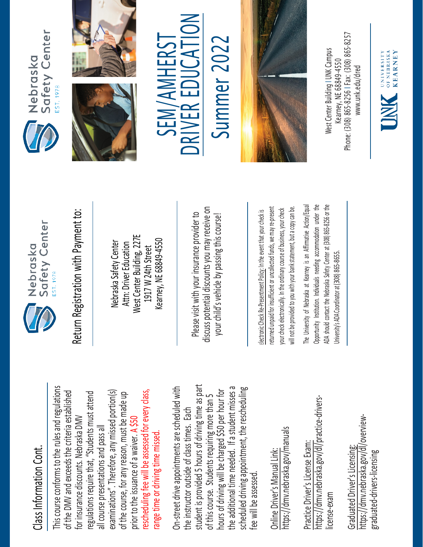## Class Information Cont. Class Information Cont.

This course conforms to the rules and regulations This course conforms to the rules and regulations rescheduling fee will be assessed for every class, examinations". Therefore, any missed portion(s) of the DMV and exceeds the criteria established regulations require that, "Students must attend rescheduling fee will be assessed for every class, of the DMV and exceeds the criteria established examinations". Therefore, any missed portion(s) of the course, for any reason, must be made up regulations require that, "Students must attend of the course, for any reason, must be made up for insurance discounts. Nebraska DMV for insurance discounts. Nebraska DMV prior to the issuance of a waiver. A \$50 all course presentations and pass all all course presentations and pass all range time or driving time missed. range time or driving time missed. prior to the issuance of a waiver.

student is provided 5 hours of driving time as part On-street drive appointments are scheduled with student is provided 5 hours of driving time as part the additional time needed. If a student misses a scheduled driving appointment, the rescheduling the additional time needed. If a student misses a On-street drive appointments are scheduled with hours of driving will be charged \$50 per hour for scheduled driving appointment, the rescheduling hours of driving will be charged \$50 per hour for of this course. Students requiring more than 5 of this course. Students requiring more than 5 the instructor outside of class times. Each the instructor outside of class times. Each fee will be assessed. fee will be assessed

https://dmv.nebraska.gov/manuals https://dmv.nebraska.gov/manuals Online Driver's Manual Link: Online Driver's Manual Link:

https://dmv.nebraska.gov/dl/practice-drivershttps://dmv.nebraska.gov/dl/practice-drivers-Practice Driver's License Exam: Practice Driver's License Exam: license-exam icense-exam

https://dmv.nebraska.gov/dl/overviewhttps://dmv.nebraska.gov/dl/overview-Graduated Driver's Licensing: Graduated Driver's Licensing: graduated-drivers-licensing graduated-drivers-licensing



Nebraska Safety Center Attn: Driver Education West Center Building, 227E 1917 W 24th Street Kearney, NE 68849-4550

Please visit with your insurance provider to discuss potential discounts you may receive on your child's vehicle by passing this course! Return Registration with Payment to:<br>
Nebraska Safety Center<br>
Attn: Driver Education<br>
1917 W 24th Street<br>
Rearney, NE 68849-4550<br>
Rease visit with your insurance provider to<br>
Please visit with your insurance provider to<br>
y

returned unpaid for insufficient or uncollected funds, we may re-present a copy can be. returned unpaid for insufficient or uncollected funds, we may re-present will not be provided to you with your bank statement, but a copy can be. your check electronically. In the ordinary course of business, your check your check electronically. In the ordinary course of business, your check will not be provided to you with your bank statement, but

The University of Nebraska at Kearney is an Affirmative Action/Equal The University of Nebraska at Kearney is an Affirmative Action/Equal Opportunity Institution. Individuals needing accommodation under the ADA should contact the Nebraska Safety Center at (308) 865-8256 or the Opportunity Institution. Individuals needing accommodation under the ADA should contact the Nebraska Safety Center at (308) 865-8256 or the Jniversity's ADA Coordinator at (308) 865-8655. University's ADA Coordinator at (308) 86







 $\sum_{i=1}^{n}$ SEM/AMHERST Summer 2022 SEM/AMHERST Summer 202 R EDUCA E RIV **NC** 



Phone: (308) 865-8256 | Fax: (308) 865-8257 West Center Building I UNK Campus Nest Center Building I UNK Campus -8256 I Fax: (308) 865 Kearney, NE 68849-4550 www.unk.edu/dred [www.unk.edu/dred](http://www.unk.edu/dred) Kearney, NE 68849 Phone: (308) 865

UNIVERSITY<br>
OF NEBRASKA<br>
KFARNEY

**KEARNEY**